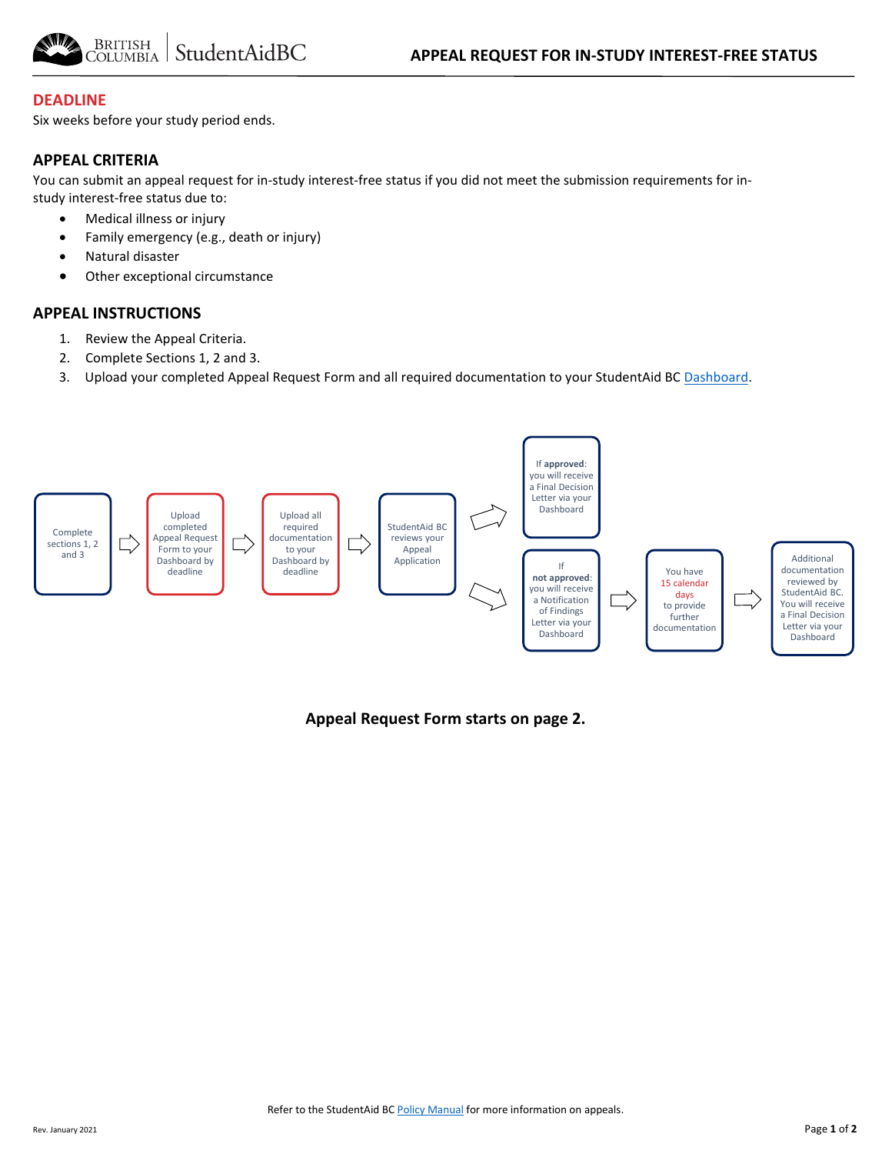

#### **DEADLINE**

Six weeks before your study period ends.

#### **APPEAL CRITERIA**

You can submit an appeal request for in-study interest-free status if you did not meet the submission requirements for instudy interest-free status due to:

- Medical illness or injury
- Family emergency (e.g., death or injury)
- Natural disaster
- Other exceptional circumstance

#### **APPEAL INSTRUCTIONS**

- 1. Review the Appeal Criteria.
- 2. Complete Sections 1, 2 and 3.
- 3. Upload your completed Appeal Request Form and all required documentation to your StudentAid BC [Dashboard.](https://studentaidbc.ca/dashboard)



**Appeal Request Form starts on page 2.**